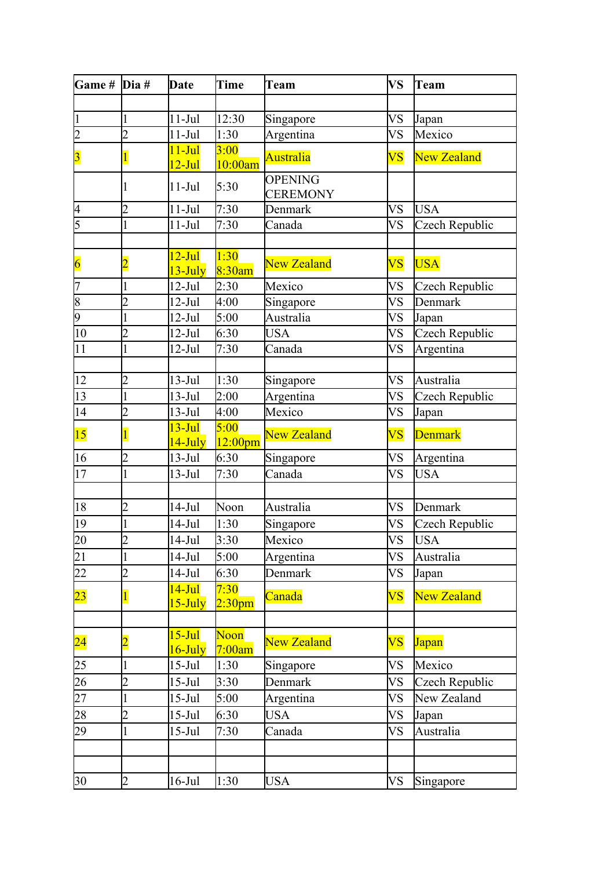| Game # $\overline{Di}$ a# |                | <b>Date</b>                     | Time                       | <b>Team</b>                       | <b>VS</b>              | Team               |
|---------------------------|----------------|---------------------------------|----------------------------|-----------------------------------|------------------------|--------------------|
|                           |                |                                 |                            |                                   |                        |                    |
| $\mathbf{1}$              |                | $11-Jul$                        | 12:30                      | Singapore                         | VS                     | Japan              |
| $\overline{2}$            | $\overline{2}$ | $11-Jul$                        | 1:30                       | Argentina                         | VS                     | Mexico             |
| $\overline{\mathbf{3}}$   |                | $11 - \text{Jul}$<br>$12-Jul$   | 3:00<br>10:00am            | <b>Australia</b>                  | $\overline{\text{VS}}$ | <b>New Zealand</b> |
|                           |                | $11-Jul$                        | 5:30                       | <b>OPENING</b><br><b>CEREMONY</b> |                        |                    |
| $\overline{\mathcal{A}}$  | $\overline{2}$ | $11-Jul$                        | 7:30                       | Denmark                           | VS                     | <b>USA</b>         |
| 5                         |                | $11-Jul$                        | 7:30                       | Canada                            | VS                     | Czech Republic     |
| $\overline{6}$            |                | $12-Jul$<br>13-July             | 1:30<br>8:30am             | <b>New Zealand</b>                | $\overline{\text{VS}}$ | <b>USA</b>         |
| 7                         |                | $12-Jul$                        | 2:30                       | Mexico                            | VS                     | Czech Republic     |
| $\overline{8}$            | $\overline{2}$ | $12-Jul$                        | 4:00                       | Singapore                         | VS                     | Denmark            |
| $\overline{9}$            |                | $12-Jul$                        | 5:00                       | Australia                         | VS                     | Japan              |
| 10                        | $\overline{2}$ | $12-Jul$                        | 6:30                       | <b>USA</b>                        | VS                     | Czech Republic     |
| 11                        |                | 12-Jul                          | 7:30                       | Canada                            | VS                     | Argentina          |
| 12                        | $\overline{2}$ | $13-Jul$                        | 1:30                       | Singapore                         | VS                     | Australia          |
| 13                        |                | $13-Jul$                        | 2:00                       | Argentina                         | VS                     | Czech Republic     |
| 14                        | $\overline{2}$ | $13-Jul$                        | 4:00                       | Mexico                            | VS                     | Japan              |
| 15                        |                | $13 - Jul$<br>14-July           | 5:00<br>$12:00$ pm         | <b>New Zealand</b>                | $\overline{\text{VS}}$ | <b>Denmark</b>     |
| 16                        | $\overline{2}$ | $13-Jul$                        | 6:30                       | Singapore                         | VS                     | Argentina          |
| 17                        |                | $13-Jul$                        | 7:30                       | Canada                            | VS                     | <b>USA</b>         |
|                           |                |                                 |                            |                                   |                        |                    |
| 18                        | $\overline{2}$ | $14-Jul$                        | Noon                       | Australia                         | VS                     | Denmark            |
| 19                        |                | 14-Jul                          | 1:30                       | Singapore                         | VS                     | Czech Republic     |
| 20                        | $\overline{2}$ | $14$ -Jul                       | 3:30                       | Mexico                            | <b>VS</b>              | <b>USA</b>         |
| 21                        |                | $14-Jul$                        | 5:00                       | Argentina                         | VS                     | Australia          |
| 22                        | $\overline{2}$ | $14-Jul$                        | 6:30                       | Denmark                           | <b>VS</b>              | Japan              |
| $\overline{23}$           |                | $14 - \text{Jul}$<br>$15$ -July | 7:30<br>2:30 <sub>pm</sub> | Canada                            | $\overline{\text{VS}}$ | <b>New Zealand</b> |
| $\overline{24}$           |                | $15-Jul$                        | Noon                       | <b>New Zealand</b>                | $\overline{\text{VS}}$ | <b>Japan</b>       |
|                           |                | 16-July                         | 7:00am                     |                                   |                        |                    |
| 25                        |                | $15$ -Jul                       | 1:30                       | Singapore                         | VS                     | Mexico             |
| 26                        | $\overline{2}$ | $15$ -Jul                       | 3:30                       | Denmark                           | VS                     | Czech Republic     |
| 27                        | 1              | $15-Jul$                        | 5:00                       | Argentina                         | VS                     | New Zealand        |
| 28                        | $\overline{2}$ | 15-Jul                          | 6:30                       | USA                               | VS                     | Japan              |
| 29                        | 1              | $15-Jul$                        | 7:30                       | Canada                            | VS                     | Australia          |
|                           |                |                                 |                            |                                   |                        |                    |
| 30                        | $\overline{2}$ | $16$ -Jul                       | 1:30                       | <b>USA</b>                        | VS                     | Singapore          |